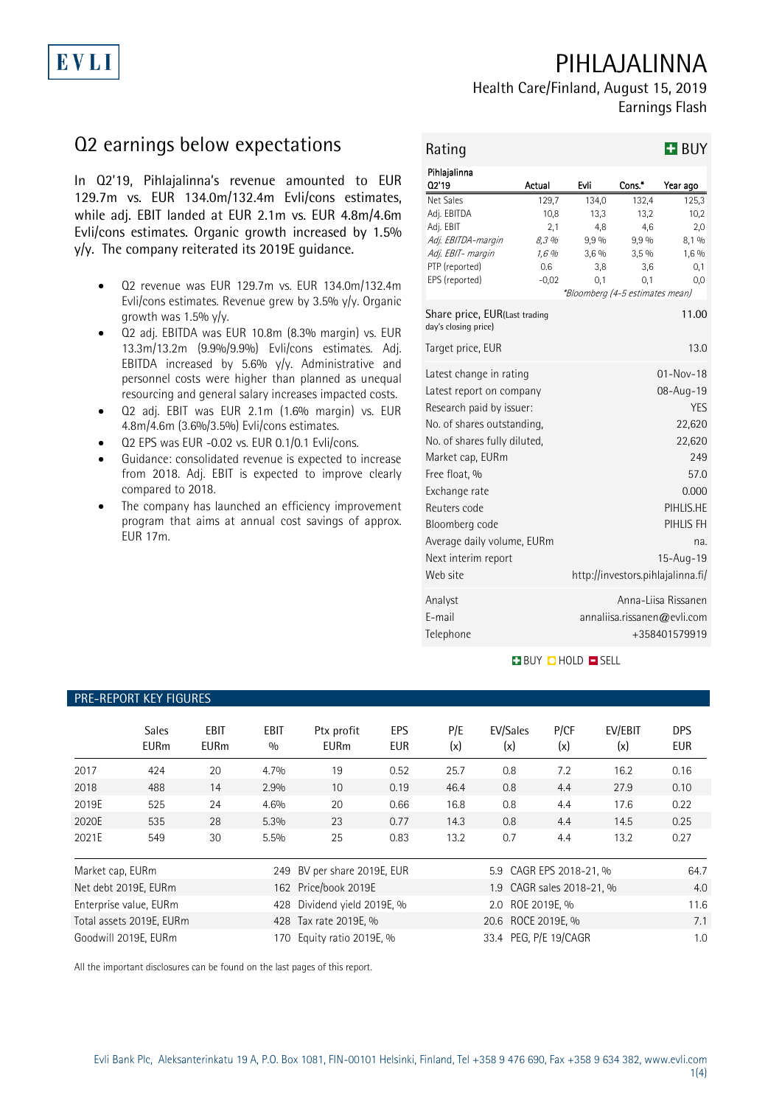# PIHLAJALINNA

Health Care/Finland, August 15, 2019 Earnings Flash

# Q2 earnings below expectations

In Q2'19, Pihlajalinna's revenue amounted to EUR 129.7m vs. EUR 134.0m/132.4m Evli/cons estimates, while adj. EBIT landed at EUR 2.1m vs. EUR 4.8m/4.6m Evli/cons estimates. Organic growth increased by 1.5% y/y. The company reiterated its 2019E guidance.

- Q2 revenue was EUR 129.7m vs. EUR 134.0m/132.4m Evli/cons estimates. Revenue grew by 3.5% y/y. Organic growth was 1.5%  $y/y$ .
- Q2 adj. EBITDA was EUR 10.8m (8.3% margin) vs. EUR 13.3m/13.2m (9.9%/9.9%) Evli/cons estimates. Adj. EBITDA increased by 5.6% y/y. Administrative and personnel costs were higher than planned as unequal resourcing and general salary increases impacted costs.
- Q2 adj. EBIT was EUR 2.1m (1.6% margin) vs. EUR 4.8m/4.6m (3.6%/3.5%) Evli/cons estimates.
- Q2 EPS was EUR -0.02 vs. EUR 0.1/0.1 Evli/cons.
- Guidance: consolidated revenue is expected to increase from 2018. Adj. EBIT is expected to improve clearly compared to 2018.
- The company has launched an efficiency improvement program that aims at annual cost savings of approx. EUR 17m.

| Rating                                                |                |                                 |              | <b>H</b> BUY                      |
|-------------------------------------------------------|----------------|---------------------------------|--------------|-----------------------------------|
| Pihlajalinna<br>02'19                                 | Actual         | Evli                            | Cons.*       | Year ago                          |
| <b>Net Sales</b>                                      | 129,7          | 134,0                           | 132,4        | 125,3                             |
| Adj. EBITDA                                           | 10,8           | 13,3                            | 13,2         | 10,2                              |
| Adj. EBIT                                             | 2,1            | 4,8                             | 4,6          | 2,0                               |
| Adj. EBITDA-margin<br>Adj. EBIT- margin               | 8,3 %<br>1,6 % | 9,9%<br>3,6%                    | 9,9%<br>3,5% | 8,1 %<br>1,6 %                    |
| PTP (reported)                                        | 0.6            | 3,8                             | 3,6          | 0,1                               |
| EPS (reported)                                        | $-0,02$        | 0,1                             | 0,1          | 0,0                               |
|                                                       |                | *Bloomberg (4-5 estimates mean) |              |                                   |
| Share price, EUR(Last trading<br>day's closing price) |                |                                 |              | 11.00                             |
| Target price, EUR                                     |                |                                 |              | 13.0                              |
| Latest change in rating                               |                |                                 |              | $01 - Nov - 18$                   |
| Latest report on company                              |                | 08-Aug-19                       |              |                                   |
| Research paid by issuer:                              |                |                                 | YES.         |                                   |
| No. of shares outstanding,                            | 22,620         |                                 |              |                                   |
| No. of shares fully diluted,                          | 22,620         |                                 |              |                                   |
| Market cap, EURm                                      | 249            |                                 |              |                                   |
|                                                       | 57.0           |                                 |              |                                   |
| Free float, %                                         |                |                                 |              |                                   |
| Exchange rate                                         |                |                                 |              | 0.000                             |
| Reuters code                                          |                |                                 |              | PIHLIS.HE                         |
| Bloomberg code                                        |                |                                 |              | PIHLIS FH                         |
| Average daily volume, EURm                            |                |                                 |              | na.                               |
| Next interim report                                   |                |                                 |              | $15 - Aug - 19$                   |
| Web site                                              |                |                                 |              | http://investors.pihlajalinna.fi/ |
| Analyst                                               |                |                                 |              | Anna-Liisa Rissanen               |
| E-mail                                                |                |                                 |              | annaliisa.rissanen@evli.com       |
| Telephone                                             |                |                                 |              | +358401579919                     |
|                                                       |                |                                 |              |                                   |

### **BUY O HOLD O SELL**

### PRE-REPORT KEY FIGURES

|                  | <b>Sales</b><br><b>EURm</b> | EBIT<br><b>EURm</b> | <b>EBIT</b><br>0/0 | Ptx profit<br><b>EURm</b>   | EPS<br><b>EUR</b> | P/E<br>(x) | EV/Sales<br>(x)           | P/CF<br>(x) | EV/EBIT<br>(x) | <b>DPS</b><br>EUR |
|------------------|-----------------------------|---------------------|--------------------|-----------------------------|-------------------|------------|---------------------------|-------------|----------------|-------------------|
| 2017             | 424                         | 20                  | 4.7%               | 19                          | 0.52              | 25.7       | 0.8                       | 7.2         | 16.2           | 0.16              |
| 2018             | 488                         | 14                  | 2.9%               | 10                          | 0.19              | 46.4       | 0.8                       | 4.4         | 27.9           | 0.10              |
| 2019E            | 525                         | 24                  | 4.6%               | 20                          | 0.66              | 16.8       | 0.8                       | 4.4         | 17.6           | 0.22              |
| 2020E            | 535                         | 28                  | 5.3%               | 23                          | 0.77              | 14.3       | 0.8                       | 4.4         | 14.5           | 0.25              |
| 2021E            | 549                         | 30                  | 5.5%               | 25                          | 0.83              | 13.2       | 0.7                       | 4.4         | 13.2           | 0.27              |
| Market cap, EURm |                             |                     |                    | 249 BV per share 2019E, EUR |                   |            | 5.9 CAGR EPS 2018-21, %   |             |                | 64.7              |
|                  | Net debt 2019E, EURm        |                     |                    | 162 Price/book 2019E        |                   |            | 1.9 CAGR sales 2018-21, % |             |                | 4.0               |
|                  | Enterprise value, EURm      |                     | 428                | Dividend yield 2019E, %     |                   |            | 2.0 ROE 2019E. %          |             |                | 11.6              |
|                  | Total assets 2019E, EURm    |                     |                    | 428 Tax rate 2019E, %       |                   |            | 20.6 ROCE 2019E, %        |             |                | 7.1               |
|                  | Goodwill 2019E, EURm        |                     | 170.               | Equity ratio 2019E, %       |                   |            | 33.4 PEG, P/E 19/CAGR     |             |                | 1.0               |

All the important disclosures can be found on the last pages of this report.

EVLI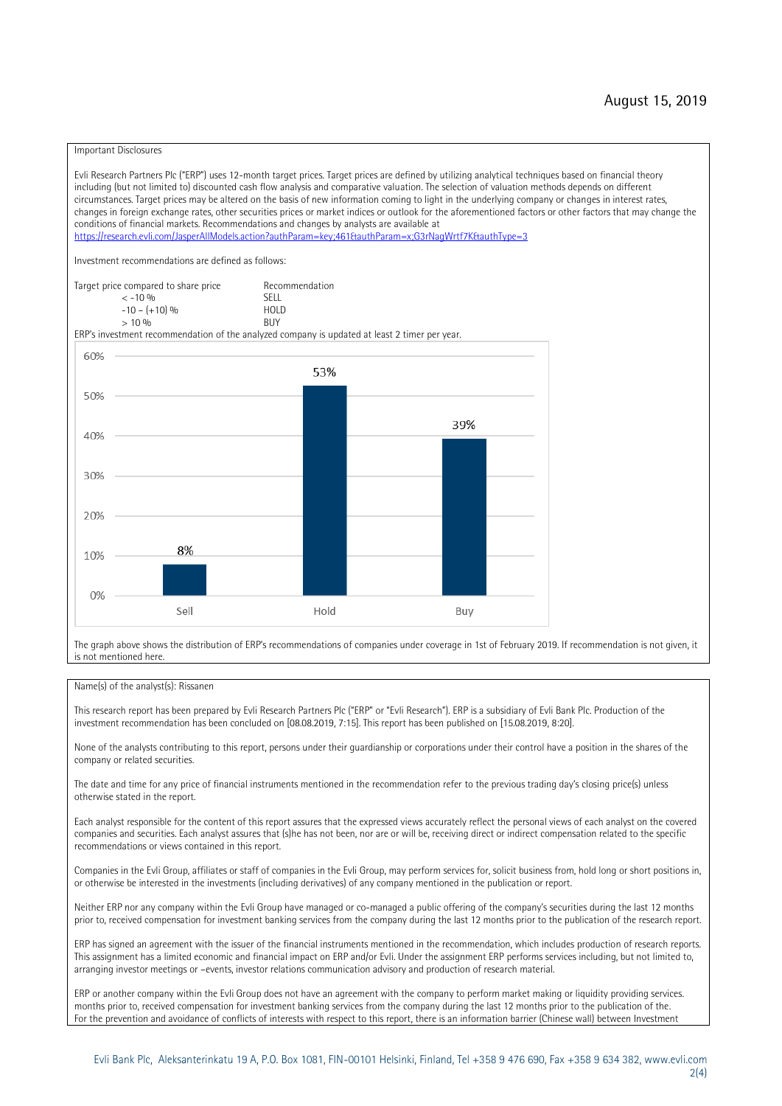#### Important Disclosures

Evli Research Partners Plc ("ERP") uses 12-month target prices. Target prices are defined by utilizing analytical techniques based on financial theory including (but not limited to) discounted cash flow analysis and comparative valuation. The selection of valuation methods depends on different circumstances. Target prices may be altered on the basis of new information coming to light in the underlying company or changes in interest rates, changes in foreign exchange rates, other securities prices or market indices or outlook for the aforementioned factors or other factors that may change the conditions of financial markets. Recommendations and changes by analysts are available at https://research.evli.com/JasperAllModels.action?authParam=key;461&tauthParam=x;G3rNagWrtf7K&tauthType=3 Investment recommendations are defined as follows: Target price compared to share price Recommendation<br>  $\epsilon$  -10 % < -10 % SELL  $-10 - (+10) \%$  HOL<br>  $> 10 \%$  RIJY  $> 10 \frac{0}{0}$ ERP's investment recommendation of the analyzed company is updated at least 2 timer per year. 60% 53% 50% 39% 40% 30% 20% 8% 10%  $0%$ Sell Hold Buy

The graph above shows the distribution of ERP's recommendations of companies under coverage in 1st of February 2019. If recommendation is not given, it is not mentioned here.

#### Name(s) of the analyst(s): Rissanen

This research report has been prepared by Evli Research Partners Plc ("ERP" or "Evli Research"). ERP is a subsidiary of Evli Bank Plc. Production of the investment recommendation has been concluded on [08.08.2019, 7:15]. This report has been published on [15.08.2019, 8:20].

None of the analysts contributing to this report, persons under their guardianship or corporations under their control have a position in the shares of the company or related securities.

The date and time for any price of financial instruments mentioned in the recommendation refer to the previous trading day's closing price(s) unless otherwise stated in the report.

Each analyst responsible for the content of this report assures that the expressed views accurately reflect the personal views of each analyst on the covered companies and securities. Each analyst assures that (s)he has not been, nor are or will be, receiving direct or indirect compensation related to the specific recommendations or views contained in this report.

Companies in the Evli Group, affiliates or staff of companies in the Evli Group, may perform services for, solicit business from, hold long or short positions in, or otherwise be interested in the investments (including derivatives) of any company mentioned in the publication or report.

Neither ERP nor any company within the Evli Group have managed or co-managed a public offering of the company's securities during the last 12 months prior to, received compensation for investment banking services from the company during the last 12 months prior to the publication of the research report.

ERP has signed an agreement with the issuer of the financial instruments mentioned in the recommendation, which includes production of research reports. This assignment has a limited economic and financial impact on ERP and/or Evli. Under the assignment ERP performs services including, but not limited to, arranging investor meetings or –events, investor relations communication advisory and production of research material.

ERP or another company within the Evli Group does not have an agreement with the company to perform market making or liquidity providing services. months prior to, received compensation for investment banking services from the company during the last 12 months prior to the publication of the. For the prevention and avoidance of conflicts of interests with respect to this report, there is an information barrier (Chinese wall) between Investment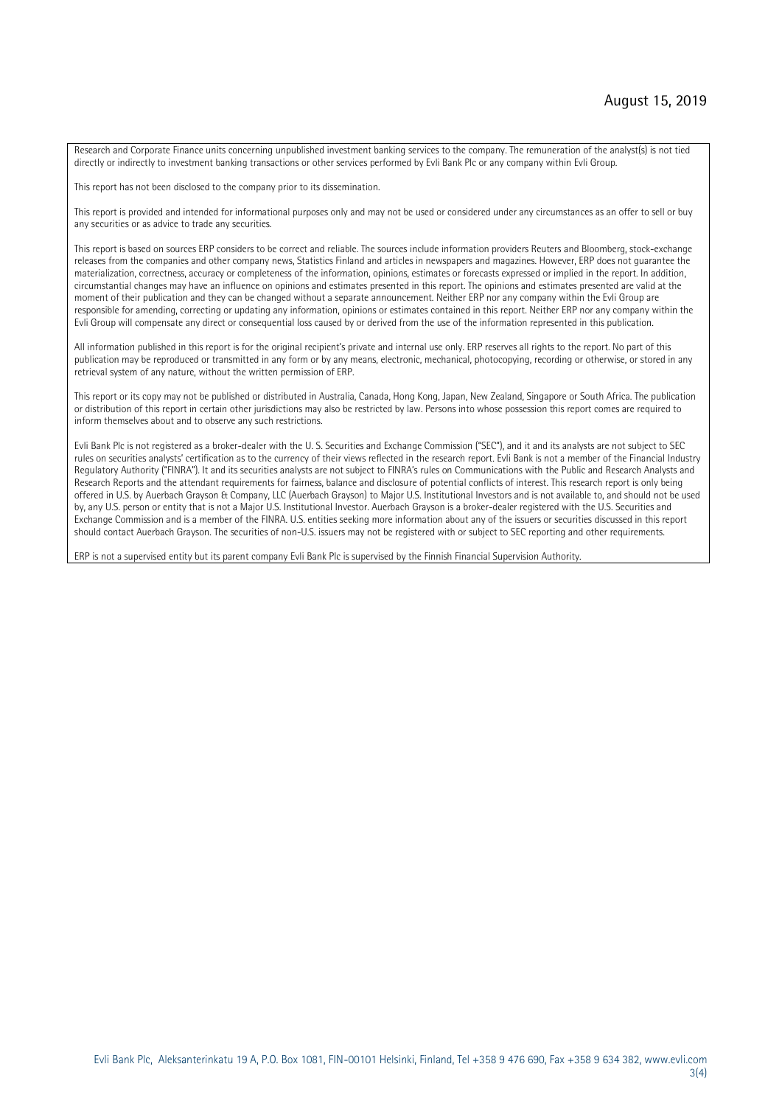Research and Corporate Finance units concerning unpublished investment banking services to the company. The remuneration of the analyst(s) is not tied directly or indirectly to investment banking transactions or other services performed by Evli Bank Plc or any company within Evli Group.

This report has not been disclosed to the company prior to its dissemination.

This report is provided and intended for informational purposes only and may not be used or considered under any circumstances as an offer to sell or buy any securities or as advice to trade any securities.

This report is based on sources ERP considers to be correct and reliable. The sources include information providers Reuters and Bloomberg, stock-exchange releases from the companies and other company news, Statistics Finland and articles in newspapers and magazines. However, ERP does not guarantee the materialization, correctness, accuracy or completeness of the information, opinions, estimates or forecasts expressed or implied in the report. In addition, circumstantial changes may have an influence on opinions and estimates presented in this report. The opinions and estimates presented are valid at the moment of their publication and they can be changed without a separate announcement. Neither ERP nor any company within the Evli Group are responsible for amending, correcting or updating any information, opinions or estimates contained in this report. Neither ERP nor any company within the Evli Group will compensate any direct or consequential loss caused by or derived from the use of the information represented in this publication.

All information published in this report is for the original recipient's private and internal use only. ERP reserves all rights to the report. No part of this publication may be reproduced or transmitted in any form or by any means, electronic, mechanical, photocopying, recording or otherwise, or stored in any retrieval system of any nature, without the written permission of ERP.

This report or its copy may not be published or distributed in Australia, Canada, Hong Kong, Japan, New Zealand, Singapore or South Africa. The publication or distribution of this report in certain other jurisdictions may also be restricted by law. Persons into whose possession this report comes are required to inform themselves about and to observe any such restrictions.

Evli Bank Plc is not registered as a broker-dealer with the U. S. Securities and Exchange Commission ("SEC"), and it and its analysts are not subject to SEC rules on securities analysts' certification as to the currency of their views reflected in the research report. Evli Bank is not a member of the Financial Industry Regulatory Authority ("FINRA"). It and its securities analysts are not subject to FINRA's rules on Communications with the Public and Research Analysts and Research Reports and the attendant requirements for fairness, balance and disclosure of potential conflicts of interest. This research report is only being offered in U.S. by Auerbach Grayson & Company, LLC (Auerbach Grayson) to Major U.S. Institutional Investors and is not available to, and should not be used by, any U.S. person or entity that is not a Major U.S. Institutional Investor. Auerbach Grayson is a broker-dealer registered with the U.S. Securities and Exchange Commission and is a member of the FINRA. U.S. entities seeking more information about any of the issuers or securities discussed in this report should contact Auerbach Grayson. The securities of non-U.S. issuers may not be registered with or subject to SEC reporting and other requirements.

ERP is not a supervised entity but its parent company Evli Bank Plc is supervised by the Finnish Financial Supervision Authority.